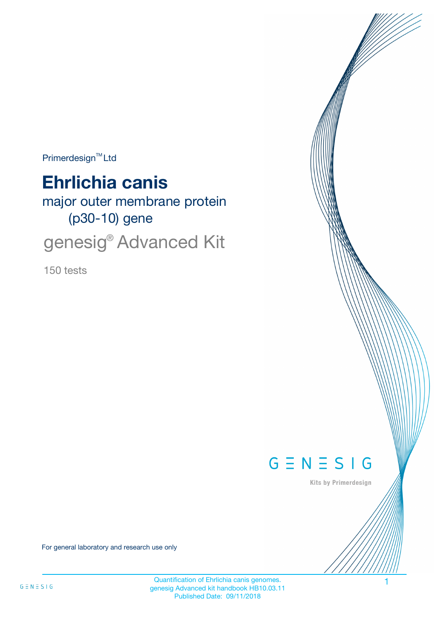Primerdesign<sup>™</sup>Ltd

# **Ehrlichia canis**

major outer membrane protein (p30-10) gene

genesig® Advanced Kit

150 tests



Kits by Primerdesign

For general laboratory and research use only

Quantification of Ehrlichia canis genomes. genesig Advanced kit handbook HB10.03.11 Published Date: 09/11/2018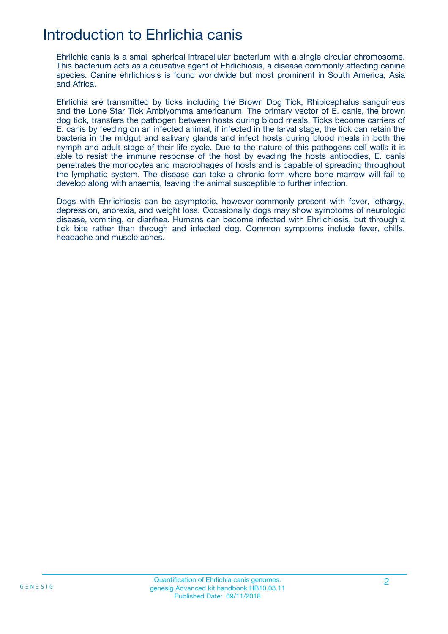# Introduction to Ehrlichia canis

Ehrlichia canis is a small spherical intracellular bacterium with a single circular chromosome. This bacterium acts as a causative agent of Ehrlichiosis, a disease commonly affecting canine species. Canine ehrlichiosis is found worldwide but most prominent in South America, Asia and Africa.

Ehrlichia are transmitted by ticks including the Brown Dog Tick, Rhipicephalus sanguineus and the Lone Star Tick Amblyomma americanum. The primary vector of E. canis, the brown dog tick, transfers the pathogen between hosts during blood meals. Ticks become carriers of E. canis by feeding on an infected animal, if infected in the larval stage, the tick can retain the bacteria in the midgut and salivary glands and infect hosts during blood meals in both the nymph and adult stage of their life cycle. Due to the nature of this pathogens cell walls it is able to resist the immune response of the host by evading the hosts antibodies, E. canis penetrates the monocytes and macrophages of hosts and is capable of spreading throughout the lymphatic system. The disease can take a chronic form where bone marrow will fail to develop along with anaemia, leaving the animal susceptible to further infection.

Dogs with Ehrlichiosis can be asymptotic, however commonly present with fever, lethargy, depression, anorexia, and weight loss. Occasionally dogs may show symptoms of neurologic disease, vomiting, or diarrhea. Humans can become infected with Ehrlichiosis, but through a tick bite rather than through and infected dog. Common symptoms include fever, chills, headache and muscle aches.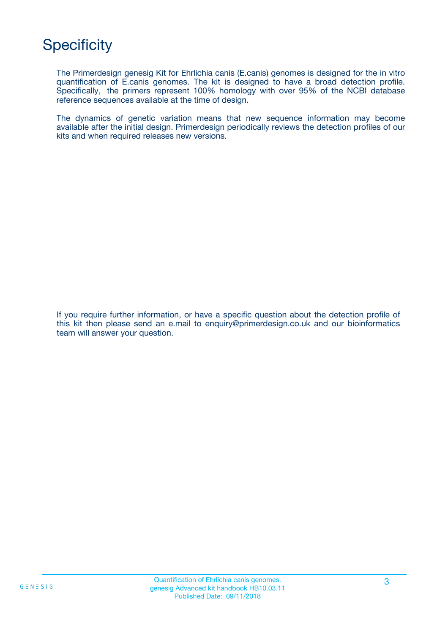# **Specificity**

The Primerdesign genesig Kit for Ehrlichia canis (E.canis) genomes is designed for the in vitro quantification of E.canis genomes. The kit is designed to have a broad detection profile. Specifically, the primers represent 100% homology with over 95% of the NCBI database reference sequences available at the time of design.

The dynamics of genetic variation means that new sequence information may become available after the initial design. Primerdesign periodically reviews the detection profiles of our kits and when required releases new versions.

If you require further information, or have a specific question about the detection profile of this kit then please send an e.mail to enquiry@primerdesign.co.uk and our bioinformatics team will answer your question.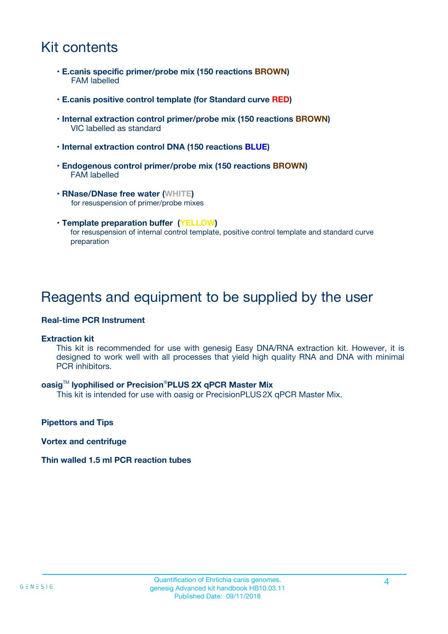# Kit contents

- **E.canis specific primer/probe mix (150 reactions BROWN)** FAM labelled
- **E.canis positive control template (for Standard curve RED)**
- **Internal extraction control primer/probe mix (150 reactions BROWN)** VIC labelled as standard
- **Internal extraction control DNA (150 reactions BLUE)**
- **Endogenous control primer/probe mix (150 reactions BROWN)** FAM labelled
- **RNase/DNase free water (WHITE)** for resuspension of primer/probe mixes
- **Template preparation buffer (YELLOW)** for resuspension of internal control template, positive control template and standard curve preparation

### Reagents and equipment to be supplied by the user

#### **Real-time PCR Instrument**

#### **Extraction kit**

This kit is recommended for use with genesig Easy DNA/RNA extraction kit. However, it is designed to work well with all processes that yield high quality RNA and DNA with minimal PCR inhibitors.

#### **oasig**TM **lyophilised or Precision**®**PLUS 2X qPCR Master Mix**

This kit is intended for use with oasig or PrecisionPLUS2X qPCR Master Mix.

**Pipettors and Tips**

**Vortex and centrifuge**

#### **Thin walled 1.5 ml PCR reaction tubes**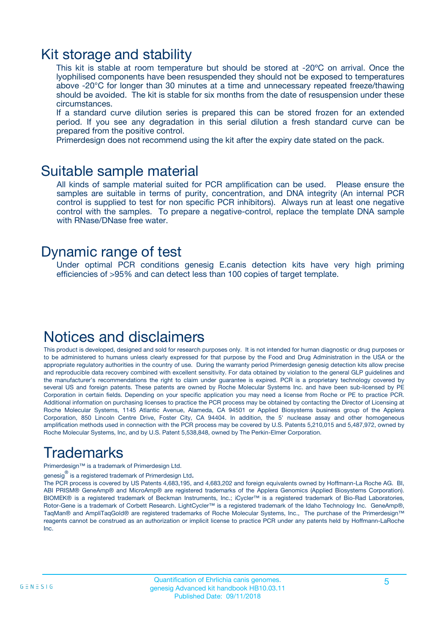### Kit storage and stability

This kit is stable at room temperature but should be stored at -20ºC on arrival. Once the lyophilised components have been resuspended they should not be exposed to temperatures above -20°C for longer than 30 minutes at a time and unnecessary repeated freeze/thawing should be avoided. The kit is stable for six months from the date of resuspension under these circumstances.

If a standard curve dilution series is prepared this can be stored frozen for an extended period. If you see any degradation in this serial dilution a fresh standard curve can be prepared from the positive control.

Primerdesign does not recommend using the kit after the expiry date stated on the pack.

### Suitable sample material

All kinds of sample material suited for PCR amplification can be used. Please ensure the samples are suitable in terms of purity, concentration, and DNA integrity (An internal PCR control is supplied to test for non specific PCR inhibitors). Always run at least one negative control with the samples. To prepare a negative-control, replace the template DNA sample with RNase/DNase free water.

### Dynamic range of test

Under optimal PCR conditions genesig E.canis detection kits have very high priming efficiencies of >95% and can detect less than 100 copies of target template.

### Notices and disclaimers

This product is developed, designed and sold for research purposes only. It is not intended for human diagnostic or drug purposes or to be administered to humans unless clearly expressed for that purpose by the Food and Drug Administration in the USA or the appropriate regulatory authorities in the country of use. During the warranty period Primerdesign genesig detection kits allow precise and reproducible data recovery combined with excellent sensitivity. For data obtained by violation to the general GLP guidelines and the manufacturer's recommendations the right to claim under guarantee is expired. PCR is a proprietary technology covered by several US and foreign patents. These patents are owned by Roche Molecular Systems Inc. and have been sub-licensed by PE Corporation in certain fields. Depending on your specific application you may need a license from Roche or PE to practice PCR. Additional information on purchasing licenses to practice the PCR process may be obtained by contacting the Director of Licensing at Roche Molecular Systems, 1145 Atlantic Avenue, Alameda, CA 94501 or Applied Biosystems business group of the Applera Corporation, 850 Lincoln Centre Drive, Foster City, CA 94404. In addition, the 5' nuclease assay and other homogeneous amplification methods used in connection with the PCR process may be covered by U.S. Patents 5,210,015 and 5,487,972, owned by Roche Molecular Systems, Inc, and by U.S. Patent 5,538,848, owned by The Perkin-Elmer Corporation.

# Trademarks

Primerdesign™ is a trademark of Primerdesign Ltd.

genesig $^\circledR$  is a registered trademark of Primerdesign Ltd.

The PCR process is covered by US Patents 4,683,195, and 4,683,202 and foreign equivalents owned by Hoffmann-La Roche AG. BI, ABI PRISM® GeneAmp® and MicroAmp® are registered trademarks of the Applera Genomics (Applied Biosystems Corporation). BIOMEK® is a registered trademark of Beckman Instruments, Inc.; iCycler™ is a registered trademark of Bio-Rad Laboratories, Rotor-Gene is a trademark of Corbett Research. LightCycler™ is a registered trademark of the Idaho Technology Inc. GeneAmp®, TaqMan® and AmpliTaqGold® are registered trademarks of Roche Molecular Systems, Inc., The purchase of the Primerdesign™ reagents cannot be construed as an authorization or implicit license to practice PCR under any patents held by Hoffmann-LaRoche Inc.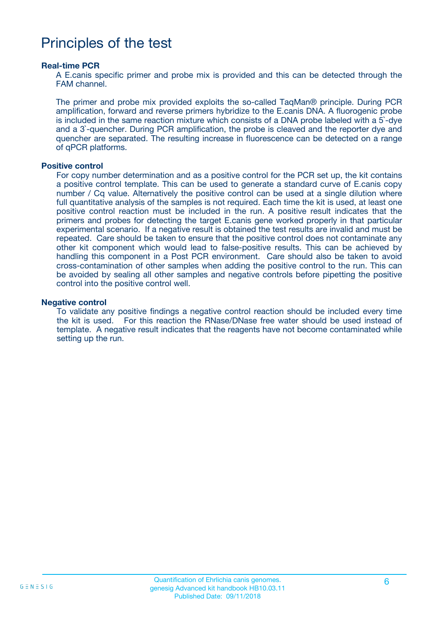### Principles of the test

#### **Real-time PCR**

A E.canis specific primer and probe mix is provided and this can be detected through the FAM channel.

The primer and probe mix provided exploits the so-called TaqMan® principle. During PCR amplification, forward and reverse primers hybridize to the E.canis DNA. A fluorogenic probe is included in the same reaction mixture which consists of a DNA probe labeled with a 5`-dye and a 3`-quencher. During PCR amplification, the probe is cleaved and the reporter dye and quencher are separated. The resulting increase in fluorescence can be detected on a range of qPCR platforms.

#### **Positive control**

For copy number determination and as a positive control for the PCR set up, the kit contains a positive control template. This can be used to generate a standard curve of E.canis copy number / Cq value. Alternatively the positive control can be used at a single dilution where full quantitative analysis of the samples is not required. Each time the kit is used, at least one positive control reaction must be included in the run. A positive result indicates that the primers and probes for detecting the target E.canis gene worked properly in that particular experimental scenario. If a negative result is obtained the test results are invalid and must be repeated. Care should be taken to ensure that the positive control does not contaminate any other kit component which would lead to false-positive results. This can be achieved by handling this component in a Post PCR environment. Care should also be taken to avoid cross-contamination of other samples when adding the positive control to the run. This can be avoided by sealing all other samples and negative controls before pipetting the positive control into the positive control well.

#### **Negative control**

To validate any positive findings a negative control reaction should be included every time the kit is used. For this reaction the RNase/DNase free water should be used instead of template. A negative result indicates that the reagents have not become contaminated while setting up the run.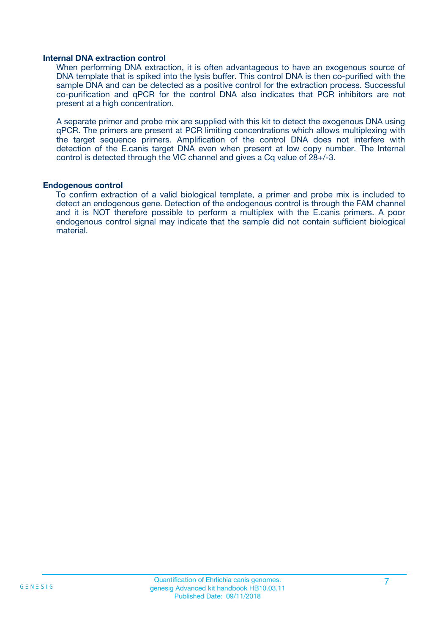#### **Internal DNA extraction control**

When performing DNA extraction, it is often advantageous to have an exogenous source of DNA template that is spiked into the lysis buffer. This control DNA is then co-purified with the sample DNA and can be detected as a positive control for the extraction process. Successful co-purification and qPCR for the control DNA also indicates that PCR inhibitors are not present at a high concentration.

A separate primer and probe mix are supplied with this kit to detect the exogenous DNA using qPCR. The primers are present at PCR limiting concentrations which allows multiplexing with the target sequence primers. Amplification of the control DNA does not interfere with detection of the E.canis target DNA even when present at low copy number. The Internal control is detected through the VIC channel and gives a Cq value of 28+/-3.

#### **Endogenous control**

To confirm extraction of a valid biological template, a primer and probe mix is included to detect an endogenous gene. Detection of the endogenous control is through the FAM channel and it is NOT therefore possible to perform a multiplex with the E.canis primers. A poor endogenous control signal may indicate that the sample did not contain sufficient biological material.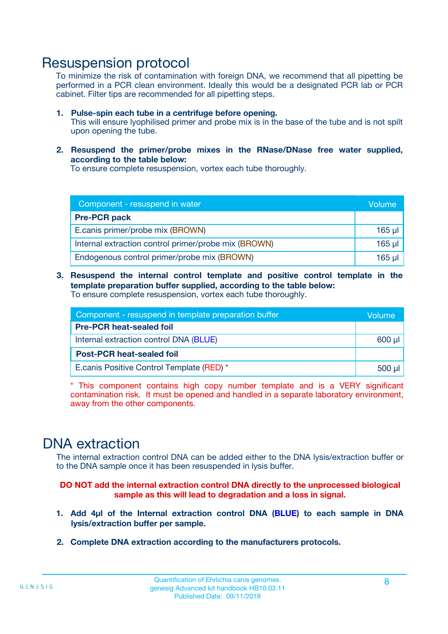### Resuspension protocol

To minimize the risk of contamination with foreign DNA, we recommend that all pipetting be performed in a PCR clean environment. Ideally this would be a designated PCR lab or PCR cabinet. Filter tips are recommended for all pipetting steps.

- **1. Pulse-spin each tube in a centrifuge before opening.** This will ensure lyophilised primer and probe mix is in the base of the tube and is not spilt upon opening the tube.
- **2. Resuspend the primer/probe mixes in the RNase/DNase free water supplied, according to the table below:**

To ensure complete resuspension, vortex each tube thoroughly.

| Component - resuspend in water                       |         |  |
|------------------------------------------------------|---------|--|
| <b>Pre-PCR pack</b>                                  |         |  |
| E.canis primer/probe mix (BROWN)                     | $165$ µ |  |
| Internal extraction control primer/probe mix (BROWN) | 165 µl  |  |
| Endogenous control primer/probe mix (BROWN)          | 165 µl  |  |

**3. Resuspend the internal control template and positive control template in the template preparation buffer supplied, according to the table below:** To ensure complete resuspension, vortex each tube thoroughly.

| Component - resuspend in template preparation buffer |  |  |  |
|------------------------------------------------------|--|--|--|
| <b>Pre-PCR heat-sealed foil</b>                      |  |  |  |
| Internal extraction control DNA (BLUE)               |  |  |  |
| <b>Post-PCR heat-sealed foil</b>                     |  |  |  |
| E.canis Positive Control Template (RED) *            |  |  |  |

\* This component contains high copy number template and is a VERY significant contamination risk. It must be opened and handled in a separate laboratory environment, away from the other components.

### DNA extraction

The internal extraction control DNA can be added either to the DNA lysis/extraction buffer or to the DNA sample once it has been resuspended in lysis buffer.

**DO NOT add the internal extraction control DNA directly to the unprocessed biological sample as this will lead to degradation and a loss in signal.**

- **1. Add 4µl of the Internal extraction control DNA (BLUE) to each sample in DNA lysis/extraction buffer per sample.**
- **2. Complete DNA extraction according to the manufacturers protocols.**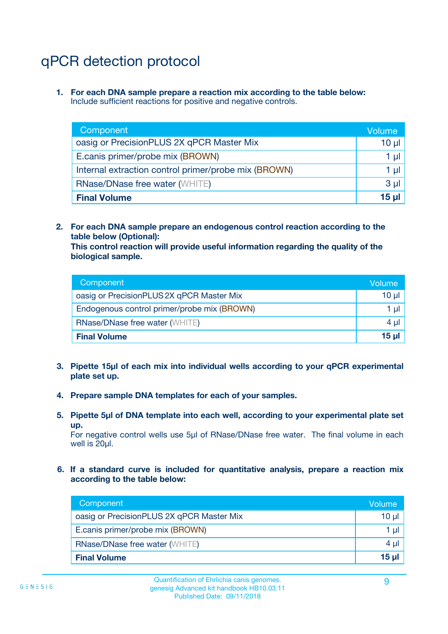# qPCR detection protocol

**1. For each DNA sample prepare a reaction mix according to the table below:** Include sufficient reactions for positive and negative controls.

| Component                                            | Volume   |
|------------------------------------------------------|----------|
| oasig or PrecisionPLUS 2X qPCR Master Mix            | $10 \mu$ |
| E.canis primer/probe mix (BROWN)                     | 1 µI     |
| Internal extraction control primer/probe mix (BROWN) | 1 µl     |
| <b>RNase/DNase free water (WHITE)</b>                | $3 \mu$  |
| <b>Final Volume</b>                                  | 15 µl    |

**2. For each DNA sample prepare an endogenous control reaction according to the table below (Optional):**

**This control reaction will provide useful information regarding the quality of the biological sample.**

| Component                                   | Volume          |
|---------------------------------------------|-----------------|
| oasig or PrecisionPLUS 2X qPCR Master Mix   | $10 \mu$        |
| Endogenous control primer/probe mix (BROWN) | 1 µI            |
| <b>RNase/DNase free water (WHITE)</b>       | 4 µl            |
| <b>Final Volume</b>                         | 15 <sub>µ</sub> |

- **3. Pipette 15µl of each mix into individual wells according to your qPCR experimental plate set up.**
- **4. Prepare sample DNA templates for each of your samples.**
- **5. Pipette 5µl of DNA template into each well, according to your experimental plate set up.**

For negative control wells use 5µl of RNase/DNase free water. The final volume in each well is 20ul.

**6. If a standard curve is included for quantitative analysis, prepare a reaction mix according to the table below:**

| Component                                 | Volume          |
|-------------------------------------------|-----------------|
| oasig or PrecisionPLUS 2X qPCR Master Mix | $10 \mu$        |
| E.canis primer/probe mix (BROWN)          |                 |
| <b>RNase/DNase free water (WHITE)</b>     | $4 \mu$         |
| <b>Final Volume</b>                       | 15 <sub>µ</sub> |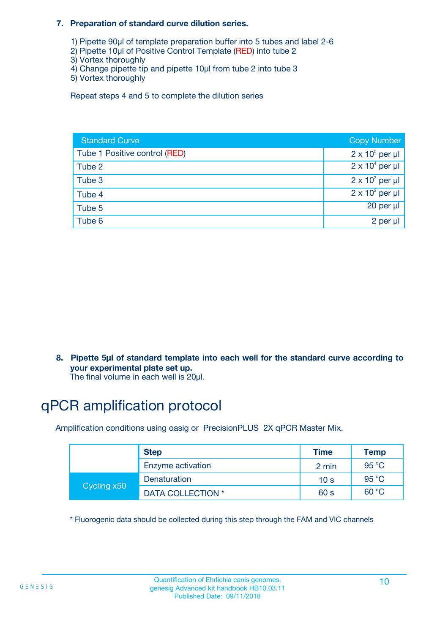#### **7. Preparation of standard curve dilution series.**

- 1) Pipette 90µl of template preparation buffer into 5 tubes and label 2-6
- 2) Pipette 10µl of Positive Control Template (RED) into tube 2
- 3) Vortex thoroughly
- 4) Change pipette tip and pipette 10µl from tube 2 into tube 3
- 5) Vortex thoroughly

Repeat steps 4 and 5 to complete the dilution series

| <b>Standard Curve</b>         | <b>Copy Number</b>     |
|-------------------------------|------------------------|
| Tube 1 Positive control (RED) | $2 \times 10^5$ per µl |
| Tube 2                        | $2 \times 10^4$ per µl |
| Tube 3                        | $2 \times 10^3$ per µl |
| Tube 4                        | $2 \times 10^2$ per µl |
| Tube 5                        | 20 per µl              |
| Tube 6                        | 2 per µl               |

**8. Pipette 5µl of standard template into each well for the standard curve according to your experimental plate set up.**

#### The final volume in each well is 20µl.

# qPCR amplification protocol

Amplification conditions using oasig or PrecisionPLUS 2X qPCR Master Mix.

|             | <b>Step</b>       | <b>Time</b>     | Temp    |
|-------------|-------------------|-----------------|---------|
|             | Enzyme activation | 2 min           | 95 °C   |
| Cycling x50 | Denaturation      | 10 <sub>s</sub> | 95 $°C$ |
|             | DATA COLLECTION * | 60 s            | 60 °C   |

\* Fluorogenic data should be collected during this step through the FAM and VIC channels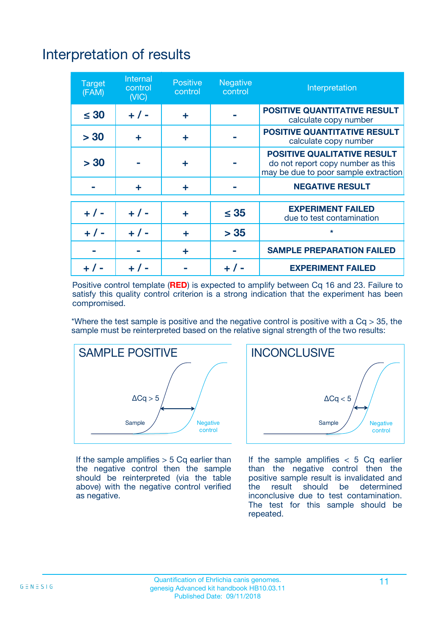# Interpretation of results

| <b>Target</b><br>(FAM) | <b>Internal</b><br>control<br>(NIC) | <b>Positive</b><br>control | <b>Negative</b><br>control | Interpretation                                                                                                  |
|------------------------|-------------------------------------|----------------------------|----------------------------|-----------------------------------------------------------------------------------------------------------------|
| $\leq 30$              | $+ 1 -$                             | ÷                          |                            | <b>POSITIVE QUANTITATIVE RESULT</b><br>calculate copy number                                                    |
| > 30                   | ٠                                   | ÷                          |                            | <b>POSITIVE QUANTITATIVE RESULT</b><br>calculate copy number                                                    |
| > 30                   |                                     | ÷                          |                            | <b>POSITIVE QUALITATIVE RESULT</b><br>do not report copy number as this<br>may be due to poor sample extraction |
|                        | ÷                                   | ÷                          |                            | <b>NEGATIVE RESULT</b>                                                                                          |
| $+ 1 -$                | $+ 1 -$                             | ÷                          | $\leq$ 35                  | <b>EXPERIMENT FAILED</b><br>due to test contamination                                                           |
| $+$ / -                | $+ 1 -$                             | ÷                          | > 35                       | $\star$                                                                                                         |
|                        |                                     | ÷                          |                            | <b>SAMPLE PREPARATION FAILED</b>                                                                                |
|                        |                                     |                            | $+$ /                      | <b>EXPERIMENT FAILED</b>                                                                                        |

Positive control template (**RED**) is expected to amplify between Cq 16 and 23. Failure to satisfy this quality control criterion is a strong indication that the experiment has been compromised.

\*Where the test sample is positive and the negative control is positive with a  $Ca > 35$ , the sample must be reinterpreted based on the relative signal strength of the two results:



If the sample amplifies  $> 5$  Cq earlier than the negative control then the sample should be reinterpreted (via the table above) with the negative control verified as negative.



If the sample amplifies  $< 5$  Cq earlier than the negative control then the positive sample result is invalidated and<br>the result should be determined  $the$  result should be inconclusive due to test contamination. The test for this sample should be repeated.